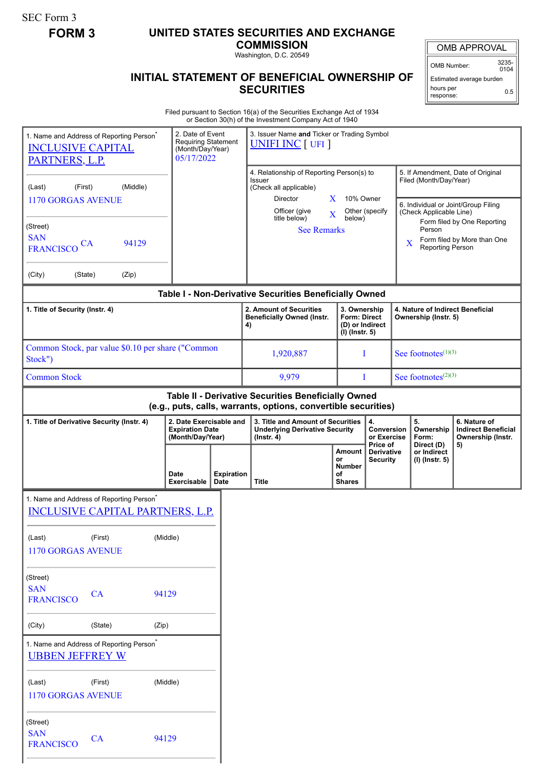SEC Form 3

## **FORM 3 UNITED STATES SECURITIES AND EXCHANGE**

**COMMISSION** Washington, D.C. 20549

OMB APPROVAL

OMB Number: 3235-  $0104$ 

Estimated average burden hours per response: 0.5

## **INITIAL STATEMENT OF BENEFICIAL OWNERSHIP OF SECURITIES**

Filed pursuant to Section 16(a) of the Securities Exchange Act of 1934 or Section 30(h) of the Investment Company Act of 1940

| 1. Name and Address of Reporting Person <sup>®</sup><br><b>INCLUSIVE CAPITAL</b><br>PARTNERS, L.P. |           |       | 2. Date of Event<br><b>Requiring Statement</b><br>(Month/Day/Year)<br>05/17/2022 |                                                                    | 3. Issuer Name and Ticker or Trading Symbol<br><b>UNIFI INC</b> [ UFI ]                                                                                                     |                                                                            |                                                    |                                                                                                                               |                                        |                                                                 |
|----------------------------------------------------------------------------------------------------|-----------|-------|----------------------------------------------------------------------------------|--------------------------------------------------------------------|-----------------------------------------------------------------------------------------------------------------------------------------------------------------------------|----------------------------------------------------------------------------|----------------------------------------------------|-------------------------------------------------------------------------------------------------------------------------------|----------------------------------------|-----------------------------------------------------------------|
| (Middle)<br>(First)<br>(Last)<br><b>1170 GORGAS AVENUE</b>                                         |           |       |                                                                                  |                                                                    | 4. Relationship of Reporting Person(s) to<br>Issuer<br>(Check all applicable)<br>10% Owner<br>Director<br>X.<br>Officer (give<br>Other (specify)<br>$\overline{\textbf{X}}$ |                                                                            |                                                    | 5. If Amendment, Date of Original<br>Filed (Month/Day/Year)<br>6. Individual or Joint/Group Filing<br>(Check Applicable Line) |                                        |                                                                 |
| (Street)<br><b>SAN</b><br><b>FRANCISCO</b>                                                         | <b>CA</b> | 94129 |                                                                                  |                                                                    | title below)<br>below)<br><b>See Remarks</b>                                                                                                                                |                                                                            |                                                    | Form filed by One Reporting<br>Person<br>Form filed by More than One<br>X<br>Reporting Person                                 |                                        |                                                                 |
| (City)<br>(State)                                                                                  |           | (Zip) |                                                                                  |                                                                    |                                                                                                                                                                             |                                                                            |                                                    |                                                                                                                               |                                        |                                                                 |
|                                                                                                    |           |       |                                                                                  |                                                                    | Table I - Non-Derivative Securities Beneficially Owned                                                                                                                      |                                                                            |                                                    |                                                                                                                               |                                        |                                                                 |
| 1. Title of Security (Instr. 4)                                                                    |           |       |                                                                                  | 2. Amount of Securities<br><b>Beneficially Owned (Instr.</b><br>4) |                                                                                                                                                                             | 3. Ownership<br><b>Form: Direct</b><br>(D) or Indirect<br>$(I)$ (Instr. 5) |                                                    | 4. Nature of Indirect Beneficial<br>Ownership (Instr. 5)                                                                      |                                        |                                                                 |
| Common Stock, par value \$0.10 per share ("Common<br>Stock")                                       |           |       |                                                                                  | 1,920,887                                                          |                                                                                                                                                                             | I                                                                          | See footnotes $(1)(3)$                             |                                                                                                                               |                                        |                                                                 |
| <b>Common Stock</b>                                                                                |           |       |                                                                                  |                                                                    | 9,979                                                                                                                                                                       |                                                                            | See footnotes $(2)(3)$<br>T                        |                                                                                                                               |                                        |                                                                 |
|                                                                                                    |           |       |                                                                                  |                                                                    | Table II - Derivative Securities Beneficially Owned<br>(e.g., puts, calls, warrants, options, convertible securities)                                                       |                                                                            |                                                    |                                                                                                                               |                                        |                                                                 |
| 1. Title of Derivative Security (Instr. 4)                                                         |           |       | 2. Date Exercisable and<br><b>Expiration Date</b><br>(Month/Day/Year)            |                                                                    | 3. Title and Amount of Securities<br><b>Underlying Derivative Security</b><br>$($ lnstr. 4 $)$                                                                              |                                                                            | 4.<br><b>Conversion</b><br>or Exercise<br>Price of |                                                                                                                               | 5.<br>Ownership<br>Form:<br>Direct (D) | 6. Nature of<br><b>Indirect Beneficial</b><br>Ownership (Instr. |
|                                                                                                    |           |       | Date<br>Exercisable                                                              | <b>Expiration</b><br>Date                                          | <b>Title</b>                                                                                                                                                                | Amount<br>or<br><b>Number</b><br>of<br><b>Shares</b>                       | <b>Derivative</b><br><b>Security</b>               |                                                                                                                               | or Indirect<br>(I) (Instr. 5)          | 5)                                                              |
| 1. Name and Address of Reporting Person <sup>*</sup><br><b>INCLUSIVE CAPITAL PARTNERS, L.P.</b>    |           |       |                                                                                  |                                                                    |                                                                                                                                                                             |                                                                            |                                                    |                                                                                                                               |                                        |                                                                 |
| (Last)<br><b>1170 GORGAS AVENUE</b>                                                                | (First)   |       | (Middle)                                                                         |                                                                    |                                                                                                                                                                             |                                                                            |                                                    |                                                                                                                               |                                        |                                                                 |
| (Street)<br><b>SAN</b><br><b>FRANCISCO</b>                                                         | CA        |       | 94129                                                                            |                                                                    |                                                                                                                                                                             |                                                                            |                                                    |                                                                                                                               |                                        |                                                                 |
| (City)                                                                                             | (State)   | (Zip) |                                                                                  |                                                                    |                                                                                                                                                                             |                                                                            |                                                    |                                                                                                                               |                                        |                                                                 |
| 1. Name and Address of Reporting Person <sup>*</sup><br><b>UBBEN JEFFREY W</b>                     |           |       |                                                                                  |                                                                    |                                                                                                                                                                             |                                                                            |                                                    |                                                                                                                               |                                        |                                                                 |
| (Last)<br><b>1170 GORGAS AVENUE</b>                                                                | (First)   |       | (Middle)                                                                         |                                                                    |                                                                                                                                                                             |                                                                            |                                                    |                                                                                                                               |                                        |                                                                 |
| (Street)<br><b>SAN</b><br><b>FRANCISCO</b>                                                         | CA        |       | 94129                                                                            |                                                                    |                                                                                                                                                                             |                                                                            |                                                    |                                                                                                                               |                                        |                                                                 |